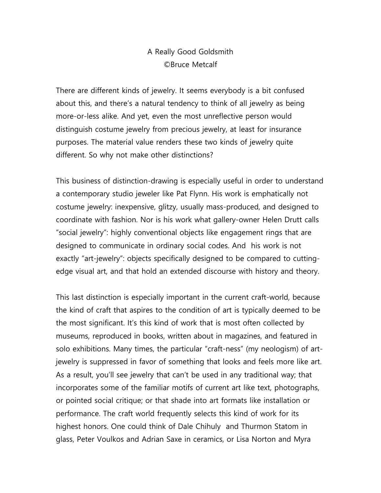## A Really Good Goldsmith ©Bruce Metcalf

There are different kinds of jewelry. It seems everybody is a bit confused about this, and there's a natural tendency to think of all jewelry as being more-or-less alike. And yet, even the most unreflective person would distinguish costume jewelry from precious jewelry, at least for insurance purposes. The material value renders these two kinds of jewelry quite different. So why not make other distinctions?

This business of distinction-drawing is especially useful in order to understand a contemporary studio jeweler like Pat Flynn. His work is emphatically not costume jewelry: inexpensive, glitzy, usually mass-produced, and designed to coordinate with fashion. Nor is his work what gallery-owner Helen Drutt calls "social jewelry": highly conventional objects like engagement rings that are designed to communicate in ordinary social codes. And his work is not exactly "art-jewelry": objects specifically designed to be compared to cuttingedge visual art, and that hold an extended discourse with history and theory.

This last distinction is especially important in the current craft-world, because the kind of craft that aspires to the condition of art is typically deemed to be the most significant. It's this kind of work that is most often collected by museums, reproduced in books, written about in magazines, and featured in solo exhibitions. Many times, the particular "craft-ness" (my neologism) of artjewelry is suppressed in favor of something that looks and feels more like art. As a result, you'll see jewelry that can't be used in any traditional way; that incorporates some of the familiar motifs of current art like text, photographs, or pointed social critique; or that shade into art formats like installation or performance. The craft world frequently selects this kind of work for its highest honors. One could think of Dale Chihuly and Thurmon Statom in glass, Peter Voulkos and Adrian Saxe in ceramics, or Lisa Norton and Myra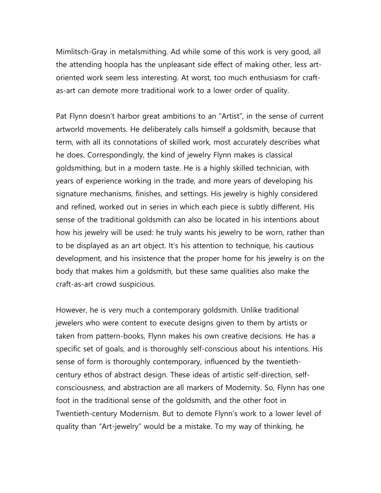Mimlitsch-Gray in metalsmithing. Ad while some of this work is very good, all the attending hoopla has the unpleasant side effect of making other, less artoriented work seem less interesting. At worst, too much enthusiasm for craftas-art can demote more traditional work to a lower order of quality.

Pat Flynn doesn't harbor great ambitions to an "Artist", in the sense of current artworld movements. He deliberately calls himself a goldsmith, because that term, with all its connotations of skilled work, most accurately describes what he does. Correspondingly, the kind of jewelry Flynn makes is classical goldsmithing, but in a modern taste. He is a highly skilled technician, with years of experience working in the trade, and more years of developing his signature mechanisms, finishes, and settings. His jewelry is highly considered and refined, worked out in series in which each piece is subtly different. His sense of the traditional goldsmith can also be located in his intentions about how his jewelry will be used: he truly wants his jewelry to be worn, rather than to be displayed as an art object. It's his attention to technique, his cautious development, and his insistence that the proper home for his jewelry is on the body that makes him a goldsmith, but these same qualities also make the craft-as-art crowd suspicious.

However, he is very much a contemporary goldsmith. Unlike traditional jewelers who were content to execute designs given to them by artists or taken from pattern-books, Flynn makes his own creative decisions. He has a specific set of goals, and is thoroughly self-conscious about his intentions. His sense of form is thoroughly contemporary, influenced by the twentiethcentury ethos of abstract design. These ideas of artistic self-direction, selfconsciousness, and abstraction are all markers of Modernity. So, Flynn has one foot in the traditional sense of the goldsmith, and the other foot in Twentieth-century Modernism. But to demote Flynn's work to a lower level of quality than "Art-jewelry" would be a mistake. To my way of thinking, he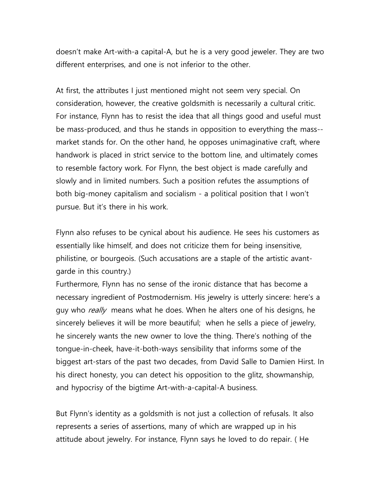doesn't make Art-with-a capital-A, but he is a very good jeweler. They are two different enterprises, and one is not inferior to the other.

At first, the attributes I just mentioned might not seem very special. On consideration, however, the creative goldsmith is necessarily a cultural critic. For instance, Flynn has to resist the idea that all things good and useful must be mass-produced, and thus he stands in opposition to everything the mass- market stands for. On the other hand, he opposes unimaginative craft, where handwork is placed in strict service to the bottom line, and ultimately comes to resemble factory work. For Flynn, the best object is made carefully and slowly and in limited numbers. Such a position refutes the assumptions of both big-money capitalism and socialism - a political position that I won't pursue. But it's there in his work.

Flynn also refuses to be cynical about his audience. He sees his customers as essentially like himself, and does not criticize them for being insensitive, philistine, or bourgeois. (Such accusations are a staple of the artistic avantgarde in this country.)

Furthermore, Flynn has no sense of the ironic distance that has become a necessary ingredient of Postmodernism. His jewelry is utterly sincere: here's a guy who *really* means what he does. When he alters one of his designs, he sincerely believes it will be more beautiful; when he sells a piece of jewelry, he sincerely wants the new owner to love the thing. There's nothing of the tongue-in-cheek, have-it-both-ways sensibility that informs some of the biggest art-stars of the past two decades, from David Salle to Damien Hirst. In his direct honesty, you can detect his opposition to the glitz, showmanship, and hypocrisy of the bigtime Art-with-a-capital-A business.

But Flynn's identity as a goldsmith is not just a collection of refusals. It also represents a series of assertions, many of which are wrapped up in his attitude about jewelry. For instance, Flynn says he loved to do repair. ( He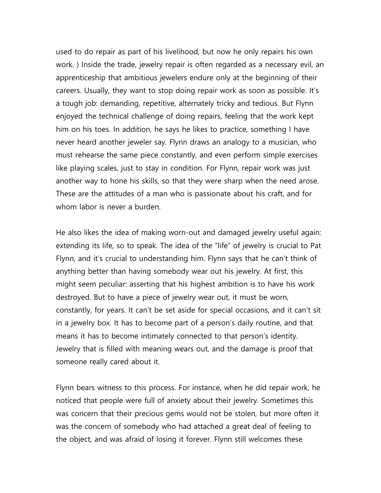used to do repair as part of his livelihood, but now he only repairs his own work. ) Inside the trade, jewelry repair is often regarded as a necessary evil, an apprenticeship that ambitious jewelers endure only at the beginning of their careers. Usually, they want to stop doing repair work as soon as possible. It's a tough job: demanding, repetitive, alternately tricky and tedious. But Flynn enjoyed the technical challenge of doing repairs, feeling that the work kept him on his toes. In addition, he says he likes to practice, something I have never heard another jeweler say. Flynn draws an analogy to a musician, who must rehearse the same piece constantly, and even perform simple exercises like playing scales, just to stay in condition. For Flynn, repair work was just another way to hone his skills, so that they were sharp when the need arose. These are the attitudes of a man who is passionate about his craft, and for whom labor is never a burden.

He also likes the idea of making worn-out and damaged jewelry useful again: extending its life, so to speak. The idea of the "life" of jewelry is crucial to Pat Flynn, and it's crucial to understanding him. Flynn says that he can't think of anything better than having somebody wear out his jewelry. At first, this might seem peculiar: asserting that his highest ambition is to have his work destroyed. But to have a piece of jewelry wear out, it must be worn, constantly, for years. It can't be set aside for special occasions, and it can't sit in a jewelry box. It has to become part of a person's daily routine, and that means it has to become intimately connected to that person's identity. Jewelry that is filled with meaning wears out, and the damage is proof that someone really cared about it.

Flynn bears witness to this process. For instance, when he did repair work, he noticed that people were full of anxiety about their jewelry. Sometimes this was concern that their precious gems would not be stolen, but more often it was the concern of somebody who had attached a great deal of feeling to the object, and was afraid of losing it forever. Flynn still welcomes these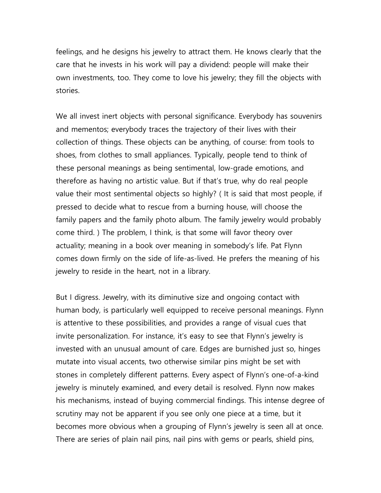feelings, and he designs his jewelry to attract them. He knows clearly that the care that he invests in his work will pay a dividend: people will make their own investments, too. They come to love his jewelry; they fill the objects with stories.

We all invest inert objects with personal significance. Everybody has souvenirs and mementos; everybody traces the trajectory of their lives with their collection of things. These objects can be anything, of course: from tools to shoes, from clothes to small appliances. Typically, people tend to think of these personal meanings as being sentimental, low-grade emotions, and therefore as having no artistic value. But if that's true, why do real people value their most sentimental objects so highly? ( It is said that most people, if pressed to decide what to rescue from a burning house, will choose the family papers and the family photo album. The family jewelry would probably come third. ) The problem, I think, is that some will favor theory over actuality; meaning in a book over meaning in somebody's life. Pat Flynn comes down firmly on the side of life-as-lived. He prefers the meaning of his jewelry to reside in the heart, not in a library.

But I digress. Jewelry, with its diminutive size and ongoing contact with human body, is particularly well equipped to receive personal meanings. Flynn is attentive to these possibilities, and provides a range of visual cues that invite personalization. For instance, it's easy to see that Flynn's jewelry is invested with an unusual amount of care. Edges are burnished just so, hinges mutate into visual accents, two otherwise similar pins might be set with stones in completely different patterns. Every aspect of Flynn's one-of-a-kind jewelry is minutely examined, and every detail is resolved. Flynn now makes his mechanisms, instead of buying commercial findings. This intense degree of scrutiny may not be apparent if you see only one piece at a time, but it becomes more obvious when a grouping of Flynn's jewelry is seen all at once. There are series of plain nail pins, nail pins with gems or pearls, shield pins,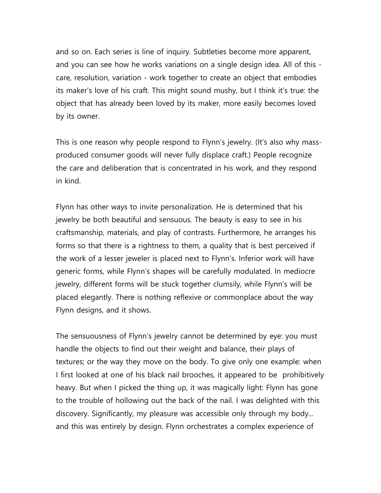and so on. Each series is line of inquiry. Subtleties become more apparent, and you can see how he works variations on a single design idea. All of this care, resolution, variation - work together to create an object that embodies its maker's love of his craft. This might sound mushy, but I think it's true: the object that has already been loved by its maker, more easily becomes loved by its owner.

This is one reason why people respond to Flynn's jewelry. (It's also why massproduced consumer goods will never fully displace craft.) People recognize the care and deliberation that is concentrated in his work, and they respond in kind.

Flynn has other ways to invite personalization. He is determined that his jewelry be both beautiful and sensuous. The beauty is easy to see in his craftsmanship, materials, and play of contrasts. Furthermore, he arranges his forms so that there is a rightness to them, a quality that is best perceived if the work of a lesser jeweler is placed next to Flynn's. Inferior work will have generic forms, while Flynn's shapes will be carefully modulated. In mediocre jewelry, different forms will be stuck together clumsily, while Flynn's will be placed elegantly. There is nothing reflexive or commonplace about the way Flynn designs, and it shows.

The sensuousness of Flynn's jewelry cannot be determined by eye: you must handle the objects to find out their weight and balance, their plays of textures; or the way they move on the body. To give only one example: when I first looked at one of his black nail brooches, it appeared to be prohibitively heavy. But when I picked the thing up, it was magically light: Flynn has gone to the trouble of hollowing out the back of the nail. I was delighted with this discovery. Significantly, my pleasure was accessible only through my body... and this was entirely by design. Flynn orchestrates a complex experience of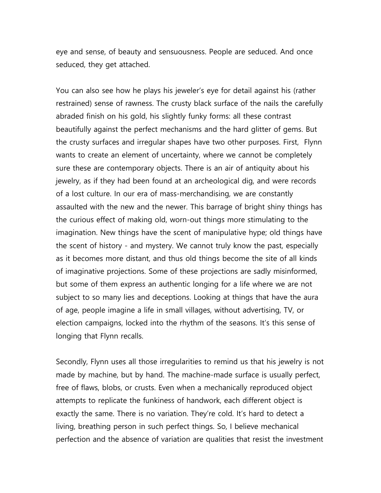eye and sense, of beauty and sensuousness. People are seduced. And once seduced, they get attached.

You can also see how he plays his jeweler's eye for detail against his (rather restrained) sense of rawness. The crusty black surface of the nails the carefully abraded finish on his gold, his slightly funky forms: all these contrast beautifully against the perfect mechanisms and the hard glitter of gems. But the crusty surfaces and irregular shapes have two other purposes. First, Flynn wants to create an element of uncertainty, where we cannot be completely sure these are contemporary objects. There is an air of antiquity about his jewelry, as if they had been found at an archeological dig, and were records of a lost culture. In our era of mass-merchandising, we are constantly assaulted with the new and the newer. This barrage of bright shiny things has the curious effect of making old, worn-out things more stimulating to the imagination. New things have the scent of manipulative hype; old things have the scent of history - and mystery. We cannot truly know the past, especially as it becomes more distant, and thus old things become the site of all kinds of imaginative projections. Some of these projections are sadly misinformed, but some of them express an authentic longing for a life where we are not subject to so many lies and deceptions. Looking at things that have the aura of age, people imagine a life in small villages, without advertising, TV, or election campaigns, locked into the rhythm of the seasons. It's this sense of longing that Flynn recalls.

Secondly, Flynn uses all those irregularities to remind us that his jewelry is not made by machine, but by hand. The machine-made surface is usually perfect, free of flaws, blobs, or crusts. Even when a mechanically reproduced object attempts to replicate the funkiness of handwork, each different object is exactly the same. There is no variation. They're cold. It's hard to detect a living, breathing person in such perfect things. So, I believe mechanical perfection and the absence of variation are qualities that resist the investment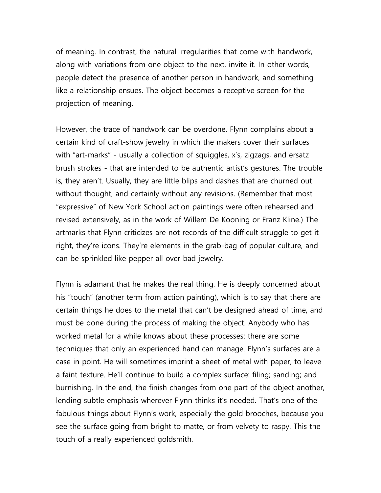of meaning. In contrast, the natural irregularities that come with handwork, along with variations from one object to the next, invite it. In other words, people detect the presence of another person in handwork, and something like a relationship ensues. The object becomes a receptive screen for the projection of meaning.

However, the trace of handwork can be overdone. Flynn complains about a certain kind of craft-show jewelry in which the makers cover their surfaces with "art-marks" - usually a collection of squiggles, x's, zigzags, and ersatz brush strokes - that are intended to be authentic artist's gestures. The trouble is, they aren't. Usually, they are little blips and dashes that are churned out without thought, and certainly without any revisions. (Remember that most "expressive" of New York School action paintings were often rehearsed and revised extensively, as in the work of Willem De Kooning or Franz Kline.) The artmarks that Flynn criticizes are not records of the difficult struggle to get it right, they're icons. They're elements in the grab-bag of popular culture, and can be sprinkled like pepper all over bad jewelry.

Flynn is adamant that he makes the real thing. He is deeply concerned about his "touch" (another term from action painting), which is to say that there are certain things he does to the metal that can't be designed ahead of time, and must be done during the process of making the object. Anybody who has worked metal for a while knows about these processes: there are some techniques that only an experienced hand can manage. Flynn's surfaces are a case in point. He will sometimes imprint a sheet of metal with paper, to leave a faint texture. He'll continue to build a complex surface: filing; sanding; and burnishing. In the end, the finish changes from one part of the object another, lending subtle emphasis wherever Flynn thinks it's needed. That's one of the fabulous things about Flynn's work, especially the gold brooches, because you see the surface going from bright to matte, or from velvety to raspy. This the touch of a really experienced goldsmith.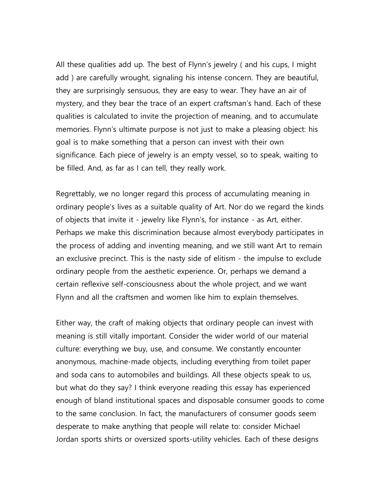All these qualities add up. The best of Flynn's jewelry ( and his cups, I might add ) are carefully wrought, signaling his intense concern. They are beautiful, they are surprisingly sensuous, they are easy to wear. They have an air of mystery, and they bear the trace of an expert craftsman's hand. Each of these qualities is calculated to invite the projection of meaning, and to accumulate memories. Flynn's ultimate purpose is not just to make a pleasing object: his goal is to make something that a person can invest with their own significance. Each piece of jewelry is an empty vessel, so to speak, waiting to be filled. And, as far as I can tell, they really work.

Regrettably, we no longer regard this process of accumulating meaning in ordinary people's lives as a suitable quality of Art. Nor do we regard the kinds of objects that invite it - jewelry like Flynn's, for instance - as Art, either. Perhaps we make this discrimination because almost everybody participates in the process of adding and inventing meaning, and we still want Art to remain an exclusive precinct. This is the nasty side of elitism - the impulse to exclude ordinary people from the aesthetic experience. Or, perhaps we demand a certain reflexive self-consciousness about the whole project, and we want Flynn and all the craftsmen and women like him to explain themselves.

Either way, the craft of making objects that ordinary people can invest with meaning is still vitally important. Consider the wider world of our material culture: everything we buy, use, and consume. We constantly encounter anonymous, machine-made objects, including everything from toilet paper and soda cans to automobiles and buildings. All these objects speak to us, but what do they say? I think everyone reading this essay has experienced enough of bland institutional spaces and disposable consumer goods to come to the same conclusion. In fact, the manufacturers of consumer goods seem desperate to make anything that people will relate to: consider Michael Jordan sports shirts or oversized sports-utility vehicles. Each of these designs